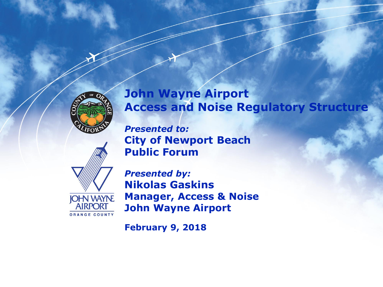

## **John Wayne Airport Access and Noise Regulatory Structure**

*Presented to:* **City of Newport Beach Public Forum** 



*Presented by:* **Nikolas Gaskins Manager, Access & Noise John Wayne Airport**

**February 9, 2018**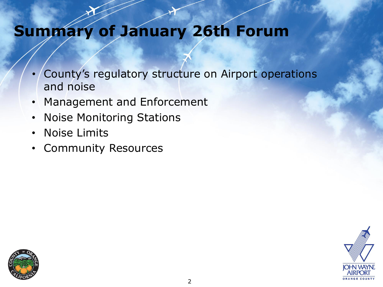# **Summary of January 26th Forum**

- County's regulatory structure on Airport operations and noise
- Management and Enforcement
- Noise Monitoring Stations
- Noise Limits
- Community Resources



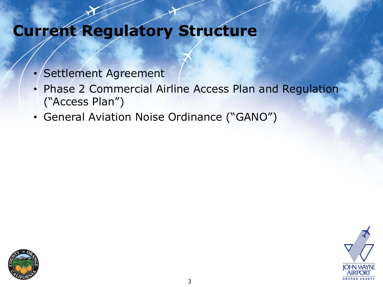# **Current Regulatory Structure**

- Settlement Agreement
- Phase 2 Commercial Airline Access Plan and Regulation ("Access Plan")
- General Aviation Noise Ordinance ("GANO")



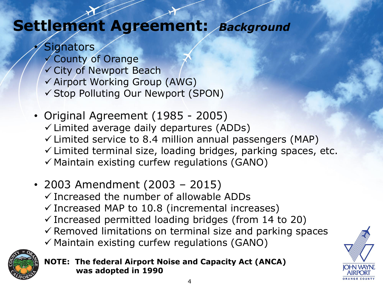# **Settlement Agreement:** *Background*

- **Signators**  County of Orange City of Newport Beach Airport Working Group (AWG) Stop Polluting Our Newport (SPON)
- Original Agreement (1985 2005)  $\checkmark$  Limited average daily departures (ADDs)  $\checkmark$  Limited service to 8.4 million annual passengers (MAP)  $\checkmark$  Limited terminal size, loading bridges, parking spaces, etc.  $\checkmark$  Maintain existing curfew regulations (GANO)
- 2003 Amendment (2003 2015)
	- $\checkmark$  Increased the number of allowable ADDs
	- $\checkmark$  Increased MAP to 10.8 (incremental increases)
	- $\checkmark$  Increased permitted loading bridges (from 14 to 20)
	- $\checkmark$  Removed limitations on terminal size and parking spaces
	- $\checkmark$  Maintain existing curfew regulations (GANO)



**NOTE: The federal Airport Noise and Capacity Act (ANCA) was adopted in 1990**

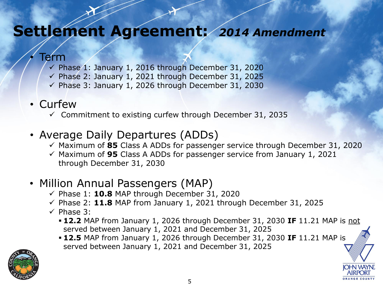## **Settlement Agreement:** *2014 Amendment*

#### Term

- $\checkmark$  Phase 1: January 1, 2016 through December 31, 2020
- $\checkmark$  Phase 2: January 1, 2021 through December 31, 2025
- $\checkmark$  Phase 3: January 1, 2026 through December 31, 2030

### • Curfew

 $\checkmark$  Commitment to existing curfew through December 31, 2035

## • Average Daily Departures (ADDs)

- Maximum of **85** Class A ADDs for passenger service through December 31, 2020
- Maximum of **95** Class A ADDs for passenger service from January 1, 2021 through December 31, 2030

## • Million Annual Passengers (MAP)

- $\checkmark$  Phase 1: **10.8** MAP through December 31, 2020
- $\checkmark$  Phase 2: 11.8 MAP from January 1, 2021 through December 31, 2025
- $\checkmark$  Phase 3:
	- **12.2** MAP from January 1, 2026 through December 31, 2030 **IF** 11.21 MAP is not served between January 1, 2021 and December 31, 2025
	- **12.5** MAP from January 1, 2026 through December 31, 2030 **IF** 11.21 MAP is served between January 1, 2021 and December 31, 2025

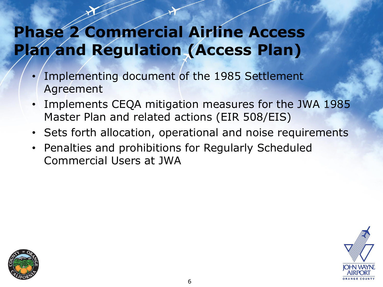# **Phase 2 Commercial Airline Access Plan and Regulation (Access Plan)**

- Implementing document of the 1985 Settlement Agreement
- Implements CEQA mitigation measures for the JWA 1985 Master Plan and related actions (EIR 508/EIS)
- Sets forth allocation, operational and noise requirements
- Penalties and prohibitions for Regularly Scheduled Commercial Users at JWA



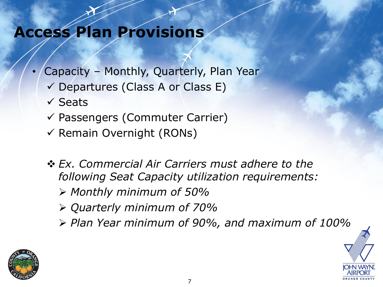# **Access Plan Provisions**

- Capacity Monthly, Quarterly, Plan Year
	- $\checkmark$  Departures (Class A or Class E)
	- $\checkmark$  Seats
	- $\checkmark$  Passengers (Commuter Carrier)
	- $\checkmark$  Remain Overnight (RONs)
	- *Ex. Commercial Air Carriers must adhere to the following Seat Capacity utilization requirements: Monthly minimum of 50%*
		- *Quarterly minimum of 70%*
		- *Plan Year minimum of 90%, and maximum of 100%*

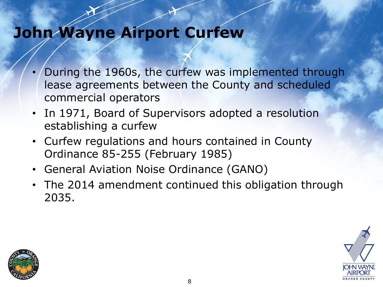# **John Wayne Airport Curfew**

- During the 1960s, the curfew was implemented through lease agreements between the County and scheduled commercial operators
- In 1971, Board of Supervisors adopted a resolution establishing a curfew
- Curfew regulations and hours contained in County Ordinance 85-255 (February 1985)
- General Aviation Noise Ordinance (GANO)
- The 2014 amendment continued this obligation through 2035.



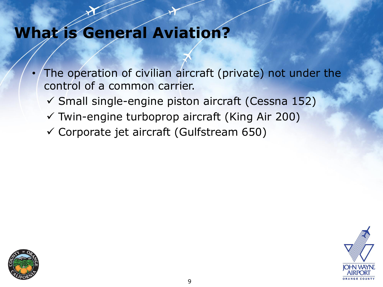# **What is General Aviation?**

- The operation of civilian aircraft (private) not under the control of a common carrier.
	- $\checkmark$  Small single-engine piston aircraft (Cessna 152)
	- Twin-engine turboprop aircraft (King Air 200)
	- $\checkmark$  Corporate jet aircraft (Gulfstream 650)



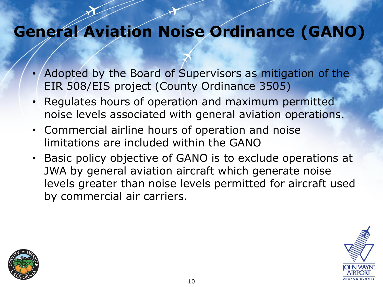# **General Aviation Noise Ordinance (GANO)**

- Adopted by the Board of Supervisors as mitigation of the EIR 508/EIS project (County Ordinance 3505)
- Regulates hours of operation and maximum permitted noise levels associated with general aviation operations.
- Commercial airline hours of operation and noise limitations are included within the GANO
- Basic policy objective of GANO is to exclude operations at JWA by general aviation aircraft which generate noise levels greater than noise levels permitted for aircraft used by commercial air carriers.



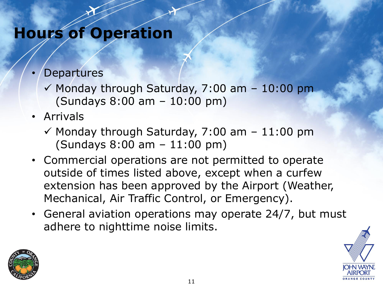## **Hours of Operation**

## **Departures**

- $\checkmark$  Monday through Saturday, 7:00 am 10:00 pm (Sundays 8:00 am – 10:00 pm)
- Arrivals
	- $\checkmark$  Monday through Saturday, 7:00 am 11:00 pm (Sundays 8:00 am – 11:00 pm)
- Commercial operations are not permitted to operate outside of times listed above, except when a curfew extension has been approved by the Airport (Weather, Mechanical, Air Traffic Control, or Emergency).
- General aviation operations may operate 24/7, but must adhere to nighttime noise limits.